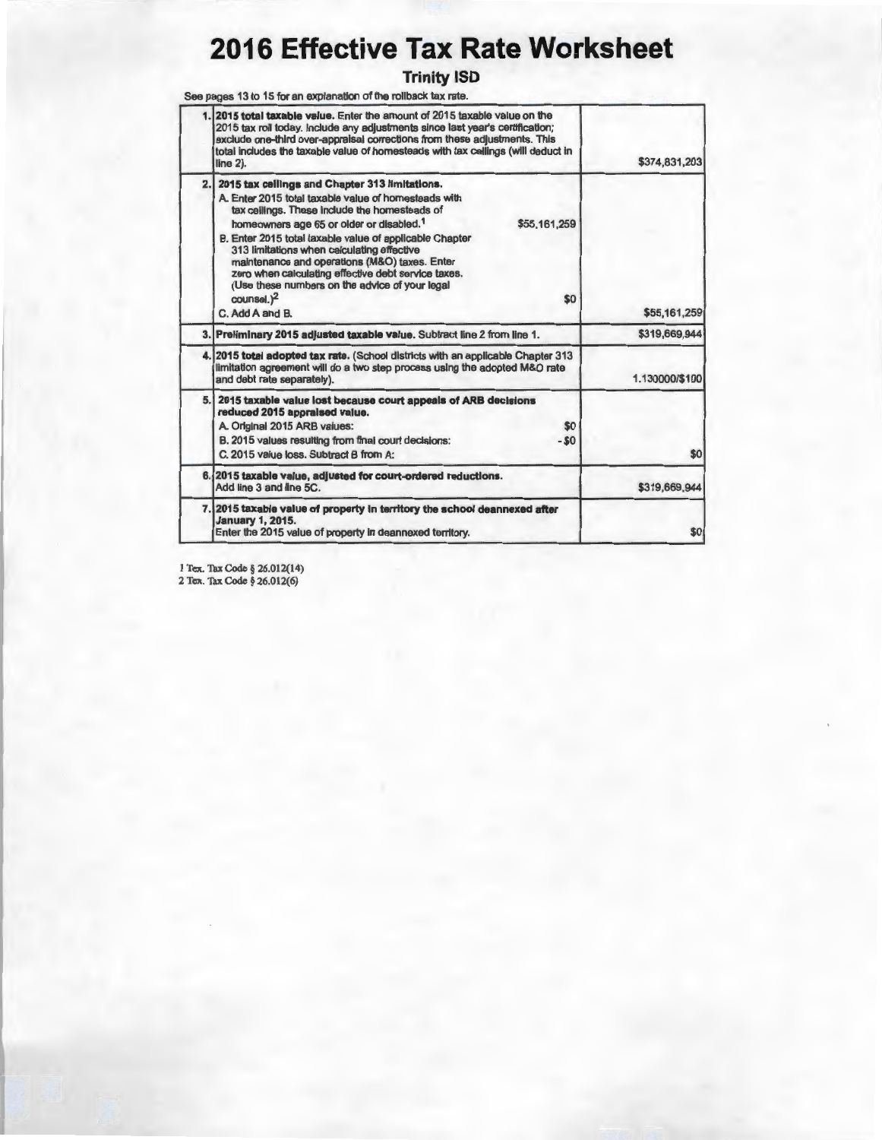# **2016 Effective Tax Rate Worksheet**

#### **Trinity ISO**

See pages 13 to 15 for an explanation of the rollback tax rate.

| \$374,831,203  | 2015 total taxable value. Enter the amount of 2015 taxable value on the<br>2015 tax roll today. Include any adjustments since last year's certification;<br>exclude one-third over-appraisal corrections from these adjustments. This<br>total includes the taxable value of homesteads with tax cellings (will deduct in<br>$line 2$ ).                                                                                                                                                                                                              |    |
|----------------|-------------------------------------------------------------------------------------------------------------------------------------------------------------------------------------------------------------------------------------------------------------------------------------------------------------------------------------------------------------------------------------------------------------------------------------------------------------------------------------------------------------------------------------------------------|----|
| \$55,161,259   | 2015 tax ceilings and Chapter 313 limitations.<br>A. Enter 2015 total taxable value of homesteads with<br>tax ceilings. These include the homesteads of<br>\$55,161,259<br>homeowners age 65 or older or disabled. <sup>1</sup><br>B. Enter 2015 total taxable value of applicable Chapter<br>313 limitations when calculating effective<br>maintenance and operations (M&O) taxes. Enter<br>zero when calculating effective debt service taxes.<br>(Use these numbers on the advice of your legal<br>counsel. <sup>2</sup><br>\$0<br>C. Add A and B. | 2. |
| \$319,669,944  | 3. Preliminary 2015 adjusted taxable value. Subtract line 2 from line 1.                                                                                                                                                                                                                                                                                                                                                                                                                                                                              |    |
| 1.130000/\$100 | 4. 2015 total adopted tax rate. (School districts with an applicable Chapter 313<br>limitation agreement will do a two step process using the adopted M&O rate<br>and debt rate separately).                                                                                                                                                                                                                                                                                                                                                          |    |
| \$0            | 5. 2015 taxable value lost because court appeals of ARB decisions<br>reduced 2015 appraised value.<br>A. Original 2015 ARB values:<br>\$0<br>$-50$<br>B. 2015 values resulting from final court decisions:<br>C. 2015 value loss. Subtract B from A:                                                                                                                                                                                                                                                                                                  |    |
| \$319,669,944  | 6. 2015 taxable value, adjusted for court-ordered reductions.<br>Add line 3 and line 5C.                                                                                                                                                                                                                                                                                                                                                                                                                                                              |    |
| \$0            | 7.12015 taxable value of property in territory the school deannexed after<br><b>January 1, 2015.</b><br>Enter the 2015 value of property in deannexed territory.                                                                                                                                                                                                                                                                                                                                                                                      |    |
|                |                                                                                                                                                                                                                                                                                                                                                                                                                                                                                                                                                       |    |

I Tex. Tax Code§ 26.012(14)

2 Tex. Tax Code§ 26.012(6)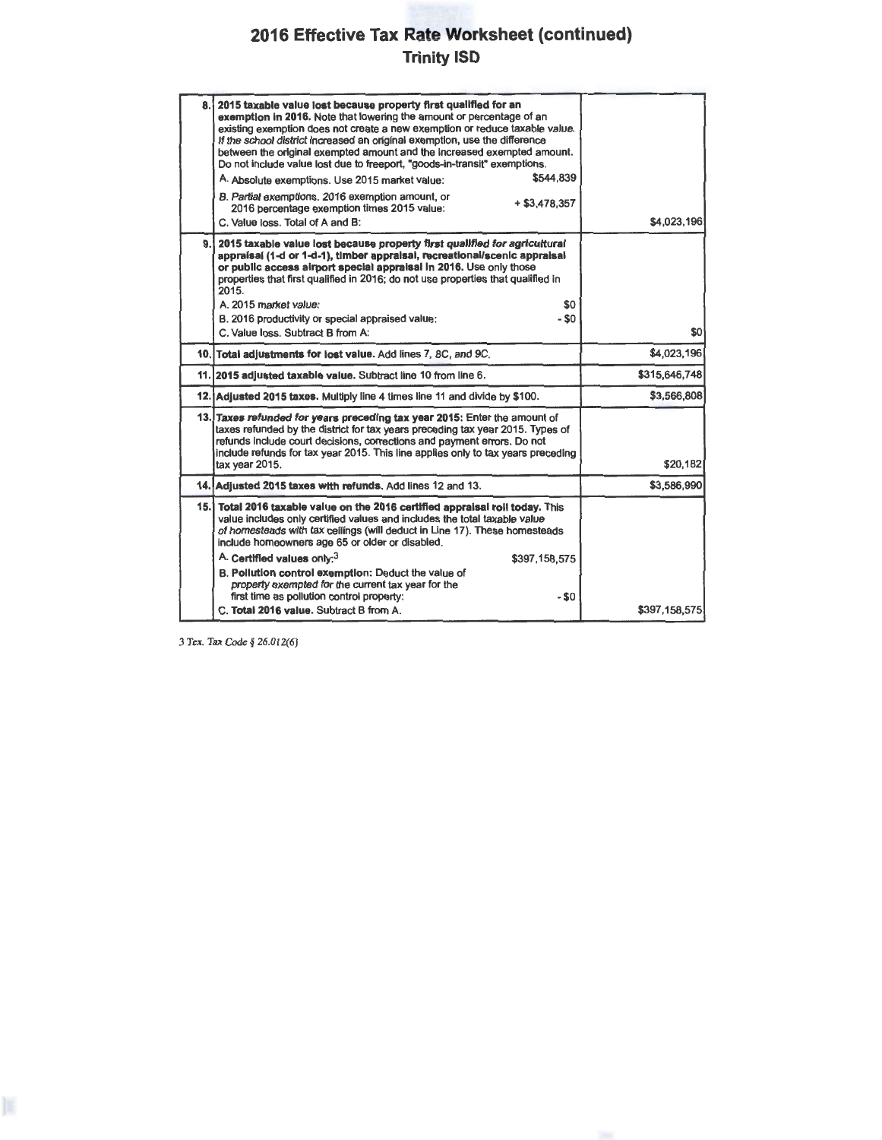### **2016 Effective Tax Rate Worksheet (continued) Trinity ISD**

| 8.1  | 2015 taxable value lost because property first qualified for an<br>exemption in 2016. Note that lowering the amount or percentage of an<br>existing exemption does not create a new exemption or reduce taxable value.<br>If the school district increased an original exemption, use the difference<br>between the original exempted amount and the increased exempted amount.<br>Do not include value lost due to freeport, "goods-in-transit" exemptions.<br>\$544.839<br>A. Absolute exemptions. Use 2015 market value:<br>B. Partial exemptions. 2016 exemption amount, or<br>$+$ \$3.478.357<br>2016 percentage exemption times 2015 value:<br>C. Value loss. Total of A and B: | \$4,023,196   |
|------|---------------------------------------------------------------------------------------------------------------------------------------------------------------------------------------------------------------------------------------------------------------------------------------------------------------------------------------------------------------------------------------------------------------------------------------------------------------------------------------------------------------------------------------------------------------------------------------------------------------------------------------------------------------------------------------|---------------|
| 9.1  | 2015 taxable value lost because property first qualified for agricultural<br>appraisal (1-d or 1-d-1), timber appraisal, recreational/scenic appraisal<br>or public access airport special appraisal in 2016. Use only those<br>properties that first qualified in 2016; do not use properties that qualified in<br>2015.<br>\$0<br>A. 2015 market value:<br>$-$ \$0<br>B. 2016 productivity or special appraised value:<br>C. Value loss. Subtract B from A:                                                                                                                                                                                                                         | \$0           |
|      | 10. Total adjustments for lost value. Add lines 7, 8C, and 9C.                                                                                                                                                                                                                                                                                                                                                                                                                                                                                                                                                                                                                        | \$4,023,196   |
|      | 11. 2015 adjusted taxable value. Subtract line 10 from line 6.                                                                                                                                                                                                                                                                                                                                                                                                                                                                                                                                                                                                                        | \$315,646,748 |
|      | 12. Adjusted 2015 taxes. Multiply line 4 times line 11 and divide by \$100.                                                                                                                                                                                                                                                                                                                                                                                                                                                                                                                                                                                                           | \$3,566,808   |
|      | 13. Taxes refunded for years preceding tax year 2015: Enter the amount of<br>taxes refunded by the district for tax years preceding tax year 2015. Types of<br>refunds include court decisions, corrections and payment errors. Do not<br>include refunds for tax year 2015. This line applies only to tax years preceding<br>tax year 2015.                                                                                                                                                                                                                                                                                                                                          | \$20,182      |
|      | 14. Adjusted 2015 taxes with refunds. Add lines 12 and 13.                                                                                                                                                                                                                                                                                                                                                                                                                                                                                                                                                                                                                            | \$3,586,990   |
| 15.1 | Total 2016 taxable value on the 2016 certified appraisal roll today. This<br>value includes only certified values and includes the total taxable value<br>of homesteads with tax ceilings (will deduct in Line 17). These homesteads<br>include homeowners age 65 or older or disabled.                                                                                                                                                                                                                                                                                                                                                                                               |               |
|      | A. Certified values only: <sup>3</sup><br>\$397,158,575                                                                                                                                                                                                                                                                                                                                                                                                                                                                                                                                                                                                                               |               |
|      | B. Pollution control exemption: Deduct the value of<br>property exempted for the current tax year for the<br>first time as pollution control property:<br>- \$0                                                                                                                                                                                                                                                                                                                                                                                                                                                                                                                       |               |
|      | C. Total 2016 value. Subtract B from A.                                                                                                                                                                                                                                                                                                                                                                                                                                                                                                                                                                                                                                               | \$397,158,575 |

3 Tex. Tax Code§ 26.012(6)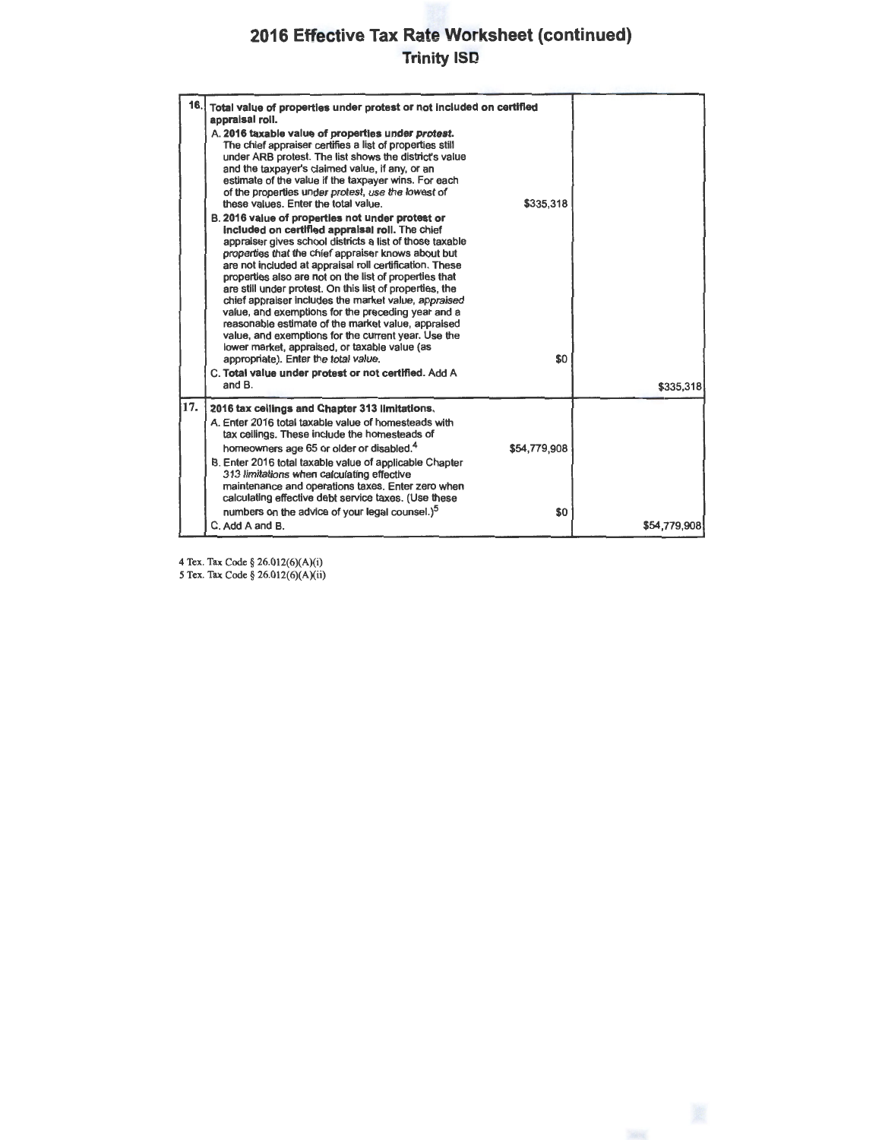### **2016 Effective Tax Rate Worksheet (continued) Trinity ISD**

|     | 16. Total value of properties under protest or not included on certified<br>appraisal roll.<br>A. 2016 taxable value of properties under protest.<br>The chief appraiser certifies a list of properties still<br>under ARB protest. The list shows the district's value<br>and the taxpayer's claimed value, if any, or an<br>estimate of the value if the taxpayer wins. For each<br>of the properties under protest, use the lowest of<br>these values. Enter the total value.<br>B. 2016 value of properties not under protest or<br>included on certified appraisal roll. The chief<br>appraiser gives school districts a list of those taxable<br>properties that the chief appraiser knows about but<br>are not included at appraisal roll certification. These<br>properties also are not on the list of properties that<br>are still under protest. On this list of properties, the<br>chief appraiser includes the market value, appraised<br>value, and exemptions for the preceding year and a<br>reasonable estimate of the market value, appraised<br>value, and exemptions for the current year. Use the<br>lower market, appraised, or taxable value (as<br>appropriate). Enter the total value.<br>C. Total value under protest or not certified. Add A<br>and B. | \$335,318<br>\$0    | \$335,318    |
|-----|-----------------------------------------------------------------------------------------------------------------------------------------------------------------------------------------------------------------------------------------------------------------------------------------------------------------------------------------------------------------------------------------------------------------------------------------------------------------------------------------------------------------------------------------------------------------------------------------------------------------------------------------------------------------------------------------------------------------------------------------------------------------------------------------------------------------------------------------------------------------------------------------------------------------------------------------------------------------------------------------------------------------------------------------------------------------------------------------------------------------------------------------------------------------------------------------------------------------------------------------------------------------------------------|---------------------|--------------|
| 17. | 2016 tax ceilings and Chapter 313 limitations.<br>A. Enter 2016 total taxable value of homesteads with<br>tax ceilings. These include the homesteads of<br>homeowners age 65 or older or disabled. <sup>4</sup><br>B. Enter 2016 total taxable value of applicable Chapter<br>313 limitations when calculating effective<br>maintenance and operations taxes. Enter zero when<br>calculating effective debt service taxes. (Use these<br>numbers on the advice of your legal counsel.) <sup>5</sup><br>C. Add A and B.                                                                                                                                                                                                                                                                                                                                                                                                                                                                                                                                                                                                                                                                                                                                                            | \$54,779,908<br>\$0 | \$54,779,908 |

4 Tex. Tax Code§ 26.0l2(6)(A)(i)

5 Tex. Tax Code§ 26.012(6)(A)(ii)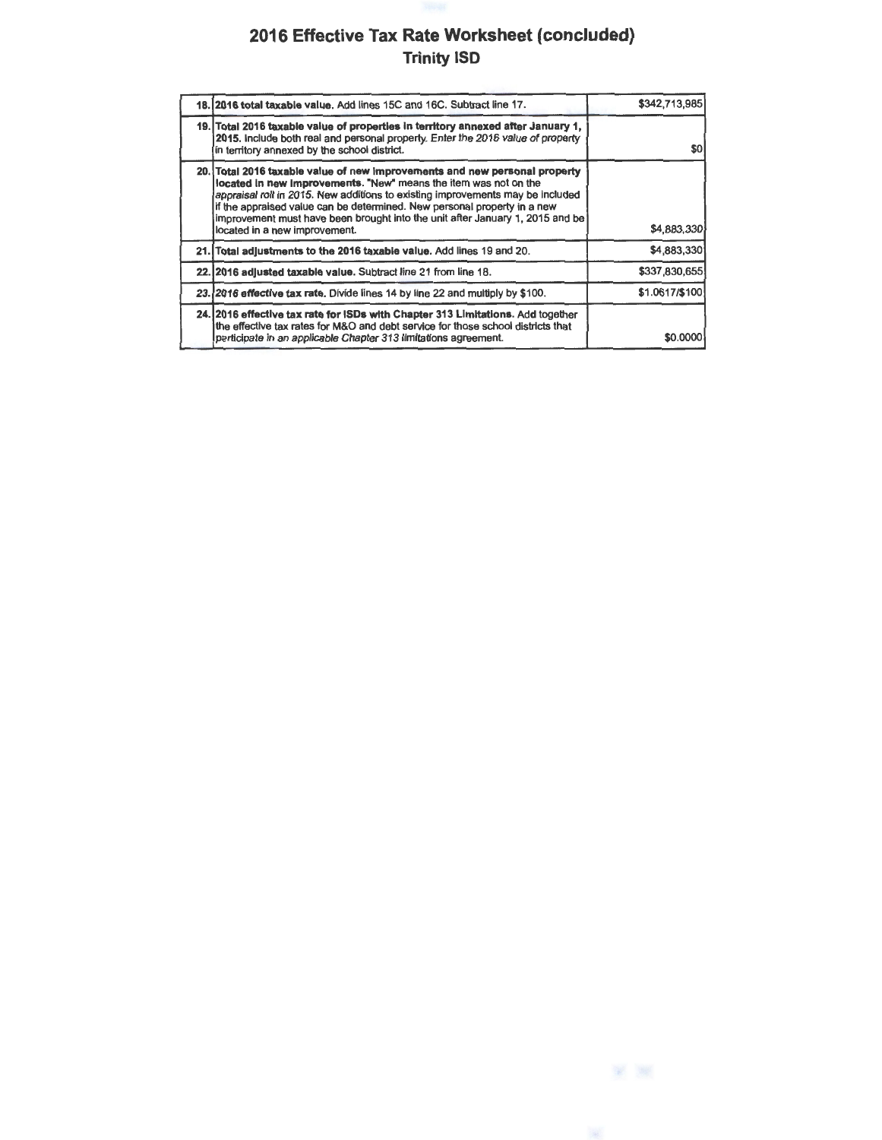### **2016 Effective Tax Rate Worksheet (concluded) Trinity ISD**

| 18. 2016 total taxable value. Add lines 15C and 16C. Subtract line 17.                                                                                                                                                                                                                                                                                                                                                         | \$342,713,985  |
|--------------------------------------------------------------------------------------------------------------------------------------------------------------------------------------------------------------------------------------------------------------------------------------------------------------------------------------------------------------------------------------------------------------------------------|----------------|
| 19. Total 2016 taxable value of properties in territory annexed after January 1,<br>2015, Include both real and personal property. Enter the 2016 value of property<br>in territory annexed by the school district.                                                                                                                                                                                                            | \$0l           |
| 20. Total 2016 taxable value of new improvements and new personal property<br>located in new improvements. "New" means the item was not on the<br>appraisal roll in 2015. New additions to existing improvements may be included<br>if the appraised value can be determined. New personal property in a new<br>improvement must have been brought into the unit after January 1, 2015 and be<br>located in a new improvement. | \$4,883,330    |
| 21. Total adjustments to the 2016 taxable value. Add lines 19 and 20.                                                                                                                                                                                                                                                                                                                                                          | \$4,883,330    |
| 22. 2016 adjusted taxable value. Subtract line 21 from line 18.                                                                                                                                                                                                                                                                                                                                                                | \$337,830,655  |
| 23. 2016 effective tax rate. Divide lines 14 by line 22 and multiply by \$100.                                                                                                                                                                                                                                                                                                                                                 | \$1.0617/\$100 |
| 24. 2016 effective tax rate for ISDs with Chapter 313 Limitations. Add together<br>the effective tax rates for M&O and debt service for those school districts that<br>participate in an applicable Chapter 313 limitations agreement.                                                                                                                                                                                         | \$0.0000       |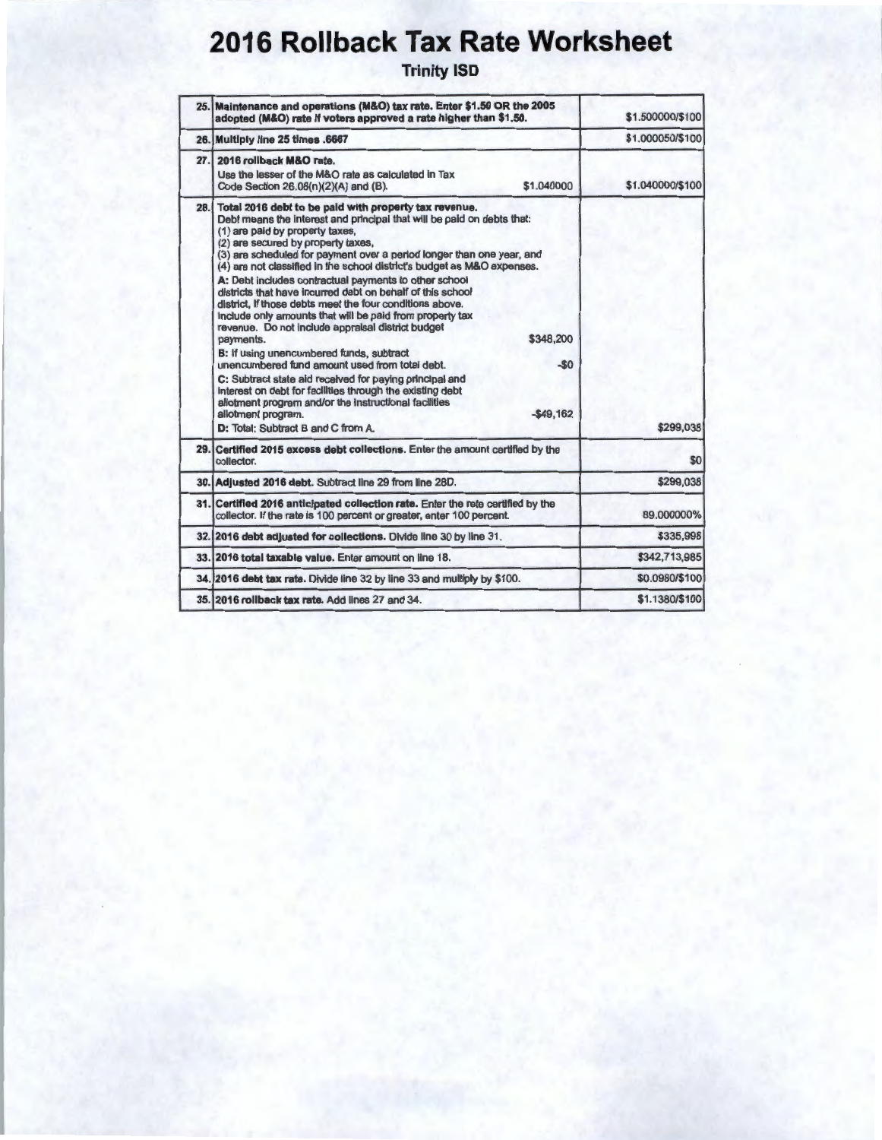# **2016 Rollback Tax Rate Worksheet**

Trinity 15D

|     | 25. Maintenance and operations (M&O) tax rate. Enter \$1.50 OR the 2005<br>adopted (M&O) rate if voters approved a rate higher than \$1.50.                                                                                                                                                                                                                                                                                                                                                                                                                                                                                                                                                                                                                                                                                                                                                                                                                                                                                                                      | \$1,500000/\$100 |
|-----|------------------------------------------------------------------------------------------------------------------------------------------------------------------------------------------------------------------------------------------------------------------------------------------------------------------------------------------------------------------------------------------------------------------------------------------------------------------------------------------------------------------------------------------------------------------------------------------------------------------------------------------------------------------------------------------------------------------------------------------------------------------------------------------------------------------------------------------------------------------------------------------------------------------------------------------------------------------------------------------------------------------------------------------------------------------|------------------|
|     | 26. Multiply line 25 times .6667                                                                                                                                                                                                                                                                                                                                                                                                                                                                                                                                                                                                                                                                                                                                                                                                                                                                                                                                                                                                                                 | \$1,000050/\$100 |
| 27. | 2016 rollback M&O rate.<br>Use the lesser of the M&O rate as calculated in Tax<br>\$1,040000<br>Code Section 26.08(n)(2)(A) and (B).                                                                                                                                                                                                                                                                                                                                                                                                                                                                                                                                                                                                                                                                                                                                                                                                                                                                                                                             | \$1.040000/\$100 |
|     | 28. Total 2016 debt to be paid with property tax revenue.<br>Debt means the interest and principal that will be paid on debts that:<br>(1) are paid by property taxes,<br>(2) are secured by property taxes,<br>(3) are scheduled for payment over a period longer than one year, and<br>(4) are not classified in the school district's budget as M&O expenses.<br>A: Debt includes contractual payments to other school<br>districts that have incurred debt on behalf of this school<br>district, if those debts meet the four conditions above.<br>Include only amounts that will be paid from property tax<br>revenue. Do not include appraisal district budget<br>\$348,200<br>payments.<br>B: If using unencumbered funds, subtract<br>$-50$<br>unencumbered fund amount used from total debt.<br>C: Subtract state aid received for paying principal and<br>interest on debt for facilities through the existing debt<br>allotment program and/or the instructional facilities<br>$-549.162$<br>allotment program.<br>D: Total: Subtract B and C from A. | \$299.038        |
|     | 29. Certified 2015 excess debt collections. Enter the amount certified by the<br>collector.                                                                                                                                                                                                                                                                                                                                                                                                                                                                                                                                                                                                                                                                                                                                                                                                                                                                                                                                                                      | \$0              |
|     | 30. Adjusted 2016 debt. Subtract line 29 from line 28D.                                                                                                                                                                                                                                                                                                                                                                                                                                                                                                                                                                                                                                                                                                                                                                                                                                                                                                                                                                                                          | \$299,038        |
|     | 31. Certified 2016 anticipated collection rate. Enter the rete certified by the<br>collector. If the rate is 100 percent or greater, enter 100 percent.                                                                                                                                                                                                                                                                                                                                                                                                                                                                                                                                                                                                                                                                                                                                                                                                                                                                                                          | 89.000000%       |
|     | 32. 2016 debt adjusted for collections. Divide line 30 by line 31.                                                                                                                                                                                                                                                                                                                                                                                                                                                                                                                                                                                                                                                                                                                                                                                                                                                                                                                                                                                               | \$335,998        |
|     | 33. 2016 total taxable value. Enter amount on line 18.                                                                                                                                                                                                                                                                                                                                                                                                                                                                                                                                                                                                                                                                                                                                                                                                                                                                                                                                                                                                           | \$342.713.985    |
|     | 34. 2016 debt tax rate. Divide line 32 by line 33 and multiply by \$100.                                                                                                                                                                                                                                                                                                                                                                                                                                                                                                                                                                                                                                                                                                                                                                                                                                                                                                                                                                                         | \$0.0980/\$100   |
|     | 35. 2016 rollback tax rate. Add lines 27 and 34.                                                                                                                                                                                                                                                                                                                                                                                                                                                                                                                                                                                                                                                                                                                                                                                                                                                                                                                                                                                                                 | \$1.1380/\$100   |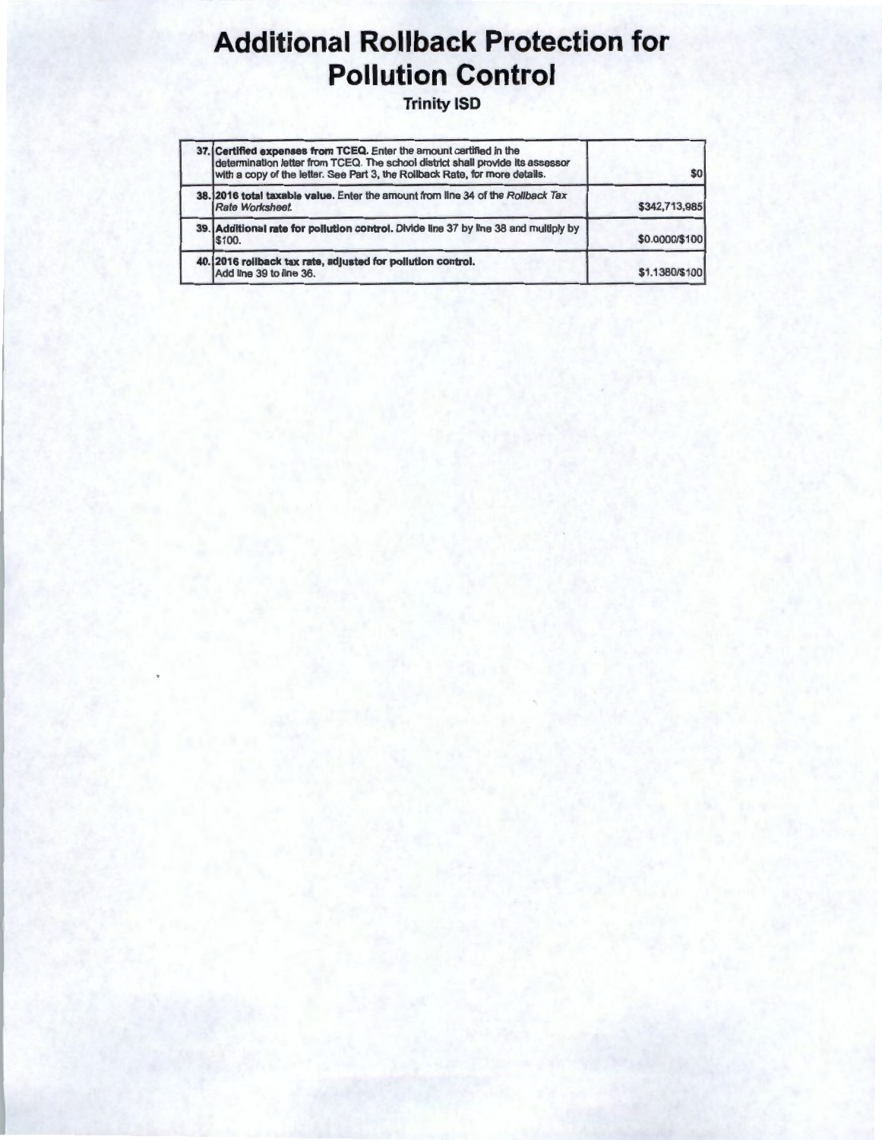## **Additional Rollback Protection for Pollution Control**

**Trinity ISD** 

| 37. Certified expenses from TCEQ. Enter the amount certified in the<br>determination letter from TCEQ. The school district shall provide its assessor<br>with a copy of the letter. See Part 3, the Rollback Rate, for more details. | \$0            |
|--------------------------------------------------------------------------------------------------------------------------------------------------------------------------------------------------------------------------------------|----------------|
| 38.12016 total taxable value. Enter the amount from line 34 of the Rollback Tax<br>Rate Worksheet.                                                                                                                                   | \$342,713,985  |
| 39. Additional rate for pollution control. Divide line 37 by line 38 and multiply by<br>\$100.                                                                                                                                       | \$0.0000/\$100 |
| 40. 2016 rollback tax rate, adjusted for pollution control.<br>Add line 39 to line 36.                                                                                                                                               | \$1,1380/\$100 |